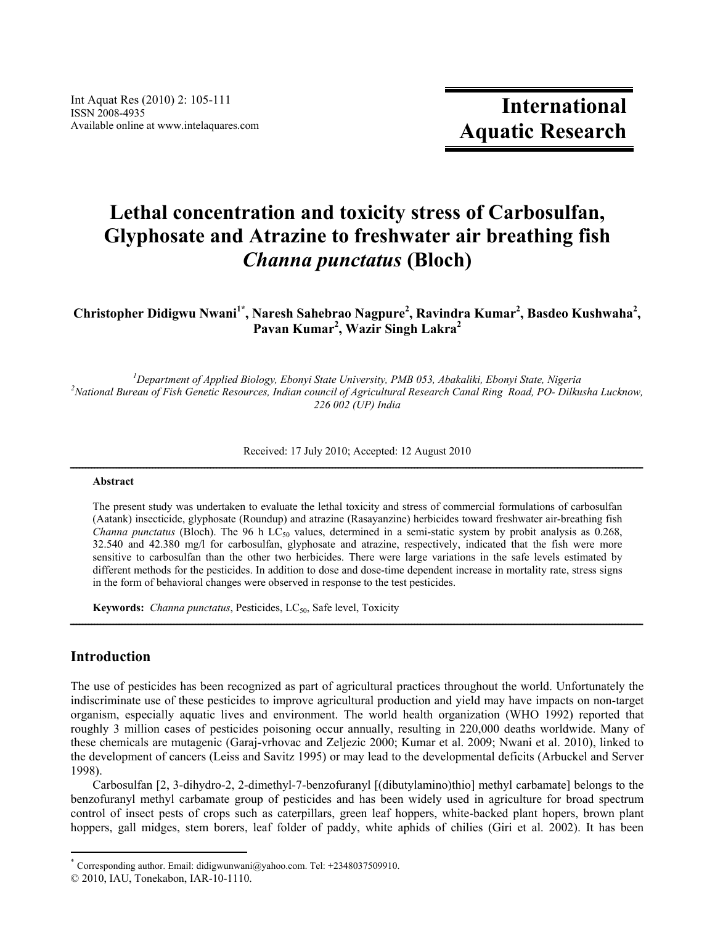# **Lethal concentration and toxicity stress of Carbosulfan, Glyphosate and Atrazine to freshwater air breathing fish**  *Channa punctatus* **(Bloch)**

Christopher Didigwu Nwani<sup>1\*</sup>, Naresh Sahebrao Nagpure<sup>2</sup>, Ravindra Kumar<sup>2</sup>, Basdeo Kushwaha<sup>2</sup>, **Pavan Kumar2 , Wazir Singh Lakra<sup>2</sup>**

<sup>1</sup>Department of Applied Biology, Ebonyi State University, PMB 053, Abakaliki, Ebonyi State, Nigeria<sup>2</sup> *National Bureau of Fish Genetic Resources, Indian council of Agricultural Research Canal Ring Road, PO- Dilkusha Lucknow, 226 002 (UP) India* 

Received: 17 July 2010; Accepted: 12 August 2010

# Abstract

The present study was undertaken to evaluate the lethal toxicity and stress of commercial formulations of carbosulfan (Aatank) insecticide, glyphosate (Roundup) and atrazine (Rasayanzine) herbicides toward freshwater air-breathing fish *Channa punctatus* (Bloch). The 96 h LC<sub>50</sub> values, determined in a semi-static system by probit analysis as  $0.268$ , 32.540 and 42.380 mg/l for carbosulfan, glyphosate and atrazine, respectively, indicated that the fish were more sensitive to carbosulfan than the other two herbicides. There were large variations in the safe levels estimated by different methods for the pesticides. In addition to dose and dose-time dependent increase in mortality rate, stress signs in the form of behavioral changes were observed in response to the test pesticides.

ــــــــــــــــــــــــــــــــــــــــــــــــــــــــــــــــــــــــــــــــــــــــــــــــــــــــــــــــــــــــــــــــــــــــــــــــــــــــــــــــــــــــــــــــــــــــــــ

**Keywords:** *Channa punctatus*, Pesticides, LC<sub>50</sub>, Safe level, Toxicity

# **Introduction**

 $\overline{a}$ 

The use of pesticides has been recognized as part of agricultural practices throughout the world. Unfortunately the indiscriminate use of these pesticides to improve agricultural production and yield may have impacts on non-target organism, especially aquatic lives and environment. The world health organization (WHO 1992) reported that roughly 3 million cases of pesticides poisoning occur annually, resulting in 220,000 deaths worldwide. Many of these chemicals are mutagenic (Garaj-vrhovac and Zeljezic 2000; Kumar et al. 2009; Nwani et al. 2010), linked to the development of cancers (Leiss and Savitz 1995) or may lead to the developmental deficits (Arbuckel and Server 1998).

Carbosulfan [2, 3-dihydro-2, 2-dimethyl-7-benzofuranyl [(dibutylamino)thio] methyl carbamate] belongs to the benzofuranyl methyl carbamate group of pesticides and has been widely used in agriculture for broad spectrum control of insect pests of crops such as caterpillars, green leaf hoppers, white-backed plant hopers, brown plant hoppers, gall midges, stem borers, leaf folder of paddy, white aphids of chilies (Giri et al. 2002). It has been

<sup>\*</sup> Corresponding author. Email: didigwunwani@yahoo.com. Tel:  $+2348037509910$ .

<sup>© 2010,</sup> IAU, Tonekabon, IAR-10-1110.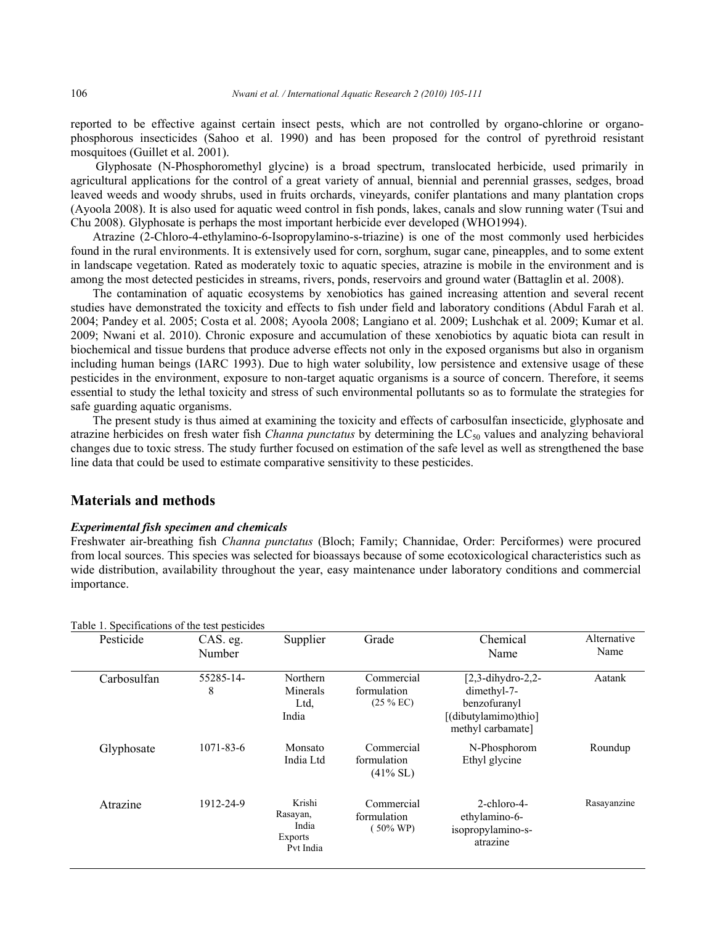reported to be effective against certain insect pests, which are not controlled by organo-chlorine or organophosphorous insecticides (Sahoo et al. 1990) and has been proposed for the control of pyrethroid resistant mosquitoes (Guillet et al. 2001).

 Glyphosate (N-Phosphoromethyl glycine) is a broad spectrum, translocated herbicide, used primarily in agricultural applications for the control of a great variety of annual, biennial and perennial grasses, sedges, broad leaved weeds and woody shrubs, used in fruits orchards, vineyards, conifer plantations and many plantation crops (Ayoola 2008). It is also used for aquatic weed control in fish ponds, lakes, canals and slow running water (Tsui and Chu 2008). Glyphosate is perhaps the most important herbicide ever developed (WHO1994).

Atrazine (2-Chloro-4-ethylamino-6-Isopropylamino-s-triazine) is one of the most commonly used herbicides found in the rural environments. It is extensively used for corn, sorghum, sugar cane, pineapples, and to some extent in landscape vegetation. Rated as moderately toxic to aquatic species, atrazine is mobile in the environment and is among the most detected pesticides in streams, rivers, ponds, reservoirs and ground water (Battaglin et al. 2008).

The contamination of aquatic ecosystems by xenobiotics has gained increasing attention and several recent studies have demonstrated the toxicity and effects to fish under field and laboratory conditions (Abdul Farah et al. 2004; Pandey et al. 2005; Costa et al. 2008; Ayoola 2008; Langiano et al. 2009; Lushchak et al. 2009; Kumar et al. 2009; Nwani et al. 2010). Chronic exposure and accumulation of these xenobiotics by aquatic biota can result in biochemical and tissue burdens that produce adverse effects not only in the exposed organisms but also in organism including human beings (IARC 1993). Due to high water solubility, low persistence and extensive usage of these pesticides in the environment, exposure to non-target aquatic organisms is a source of concern. Therefore, it seems essential to study the lethal toxicity and stress of such environmental pollutants so as to formulate the strategies for safe guarding aquatic organisms.

The present study is thus aimed at examining the toxicity and effects of carbosulfan insecticide, glyphosate and atrazine herbicides on fresh water fish *Channa punctatus* by determining the LC<sub>50</sub> values and analyzing behavioral changes due to toxic stress. The study further focused on estimation of the safe level as well as strengthened the base line data that could be used to estimate comparative sensitivity to these pesticides.

### **Materials and methods**

#### *Experimental fish specimen and chemicals*

Freshwater air-breathing fish *Channa punctatus* (Bloch; Family; Channidae, Order: Perciformes) were procured from local sources. This species was selected for bioassays because of some ecotoxicological characteristics such as wide distribution, availability throughout the year, easy maintenance under laboratory conditions and commercial importance.

| Table 1. Specifications of the test pesticides |                    |                                                     |                                                  |                                                                                                  |                     |
|------------------------------------------------|--------------------|-----------------------------------------------------|--------------------------------------------------|--------------------------------------------------------------------------------------------------|---------------------|
| Pesticide                                      | CAS. eg.<br>Number | Supplier                                            | Grade                                            | Chemical<br>Name                                                                                 | Alternative<br>Name |
| Carbosulfan                                    | 55285-14-<br>8     | Northern<br>Minerals<br>Ltd,<br>India               | Commercial<br>formulation<br>$(25\%$ EC)         | $[2,3$ -dihydro-2,2-<br>dimethyl-7-<br>benzofuranyl<br>[(dibutylamimo)thio]<br>methyl carbamate] | Aatank              |
| Glyphosate                                     | $1071 - 83 - 6$    | Monsato<br>India Ltd                                | Commercial<br>formulation<br>$(41\%$ SL)         | N-Phosphorom<br>Ethyl glycine                                                                    | Roundup             |
| Atrazine                                       | 1912-24-9          | Krishi<br>Rasayan,<br>India<br>Exports<br>Pvt India | Commercial<br>formulation<br>$(50\% \text{ WP})$ | $2$ -chloro-4-<br>ethylamino-6-<br>isopropylamino-s-<br>atrazine                                 | Rasayanzine         |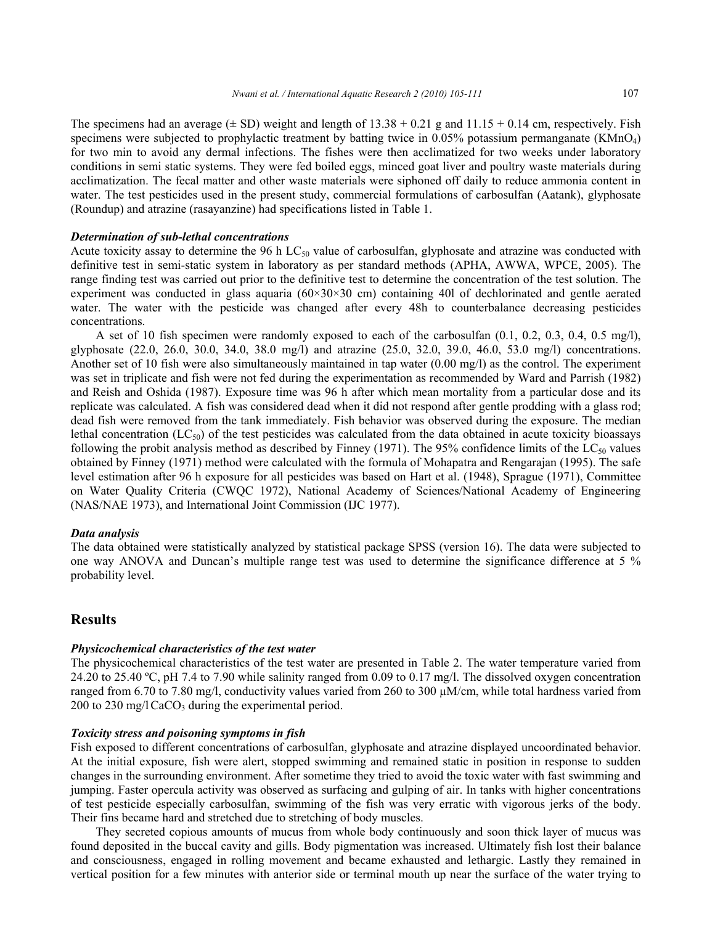The specimens had an average  $(\pm SD)$  weight and length of 13.38 + 0.21 g and 11.15 + 0.14 cm, respectively. Fish specimens were subjected to prophylactic treatment by batting twice in  $0.05\%$  potassium permanganate (KMnO<sub>4</sub>) for two min to avoid any dermal infections. The fishes were then acclimatized for two weeks under laboratory conditions in semi static systems. They were fed boiled eggs, minced goat liver and poultry waste materials during acclimatization. The fecal matter and other waste materials were siphoned off daily to reduce ammonia content in water. The test pesticides used in the present study, commercial formulations of carbosulfan (Aatank), glyphosate (Roundup) and atrazine (rasayanzine) had specifications listed in Table 1.

#### *Determination of sub-lethal concentrations*

Acute toxicity assay to determine the 96 h  $LC_{50}$  value of carbosulfan, glyphosate and atrazine was conducted with definitive test in semi-static system in laboratory as per standard methods (APHA, AWWA, WPCE, 2005). The range finding test was carried out prior to the definitive test to determine the concentration of the test solution. The experiment was conducted in glass aquaria  $(60\times30\times30)$  cm containing 40l of dechlorinated and gentle aerated water. The water with the pesticide was changed after every 48h to counterbalance decreasing pesticides concentrations.

 A set of 10 fish specimen were randomly exposed to each of the carbosulfan (0.1, 0.2, 0.3, 0.4, 0.5 mg/l), glyphosate (22.0, 26.0, 30.0, 34.0, 38.0 mg/l) and atrazine (25.0, 32.0, 39.0, 46.0, 53.0 mg/l) concentrations. Another set of 10 fish were also simultaneously maintained in tap water (0.00 mg/l) as the control. The experiment was set in triplicate and fish were not fed during the experimentation as recommended by Ward and Parrish (1982) and Reish and Oshida (1987). Exposure time was 96 h after which mean mortality from a particular dose and its replicate was calculated. A fish was considered dead when it did not respond after gentle prodding with a glass rod; dead fish were removed from the tank immediately. Fish behavior was observed during the exposure. The median lethal concentration ( $LC_{50}$ ) of the test pesticides was calculated from the data obtained in acute toxicity bioassays following the probit analysis method as described by Finney (1971). The 95% confidence limits of the  $LC_{50}$  values obtained by Finney (1971) method were calculated with the formula of Mohapatra and Rengarajan (1995). The safe level estimation after 96 h exposure for all pesticides was based on Hart et al. (1948), Sprague (1971), Committee on Water Quality Criteria (CWQC 1972), National Academy of Sciences/National Academy of Engineering (NAS/NAE 1973), and International Joint Commission (IJC 1977).

#### *Data analysis*

The data obtained were statistically analyzed by statistical package SPSS (version 16). The data were subjected to one way ANOVA and Duncan's multiple range test was used to determine the significance difference at 5 % probability level.

#### **Results**

#### *Physicochemical characteristics of the test water*

The physicochemical characteristics of the test water are presented in Table 2. The water temperature varied from 24.20 to 25.40 ºC, pH 7.4 to 7.90 while salinity ranged from 0.09 to 0.17 mg/l. The dissolved oxygen concentration ranged from 6.70 to 7.80 mg/l, conductivity values varied from 260 to 300 µM/cm, while total hardness varied from 200 to 230 mg/l CaCO<sub>3</sub> during the experimental period.

#### *Toxicity stress and poisoning symptoms in fish*

Fish exposed to different concentrations of carbosulfan, glyphosate and atrazine displayed uncoordinated behavior. At the initial exposure, fish were alert, stopped swimming and remained static in position in response to sudden changes in the surrounding environment. After sometime they tried to avoid the toxic water with fast swimming and jumping. Faster opercula activity was observed as surfacing and gulping of air. In tanks with higher concentrations of test pesticide especially carbosulfan, swimming of the fish was very erratic with vigorous jerks of the body. Their fins became hard and stretched due to stretching of body muscles.

 They secreted copious amounts of mucus from whole body continuously and soon thick layer of mucus was found deposited in the buccal cavity and gills. Body pigmentation was increased. Ultimately fish lost their balance and consciousness, engaged in rolling movement and became exhausted and lethargic. Lastly they remained in vertical position for a few minutes with anterior side or terminal mouth up near the surface of the water trying to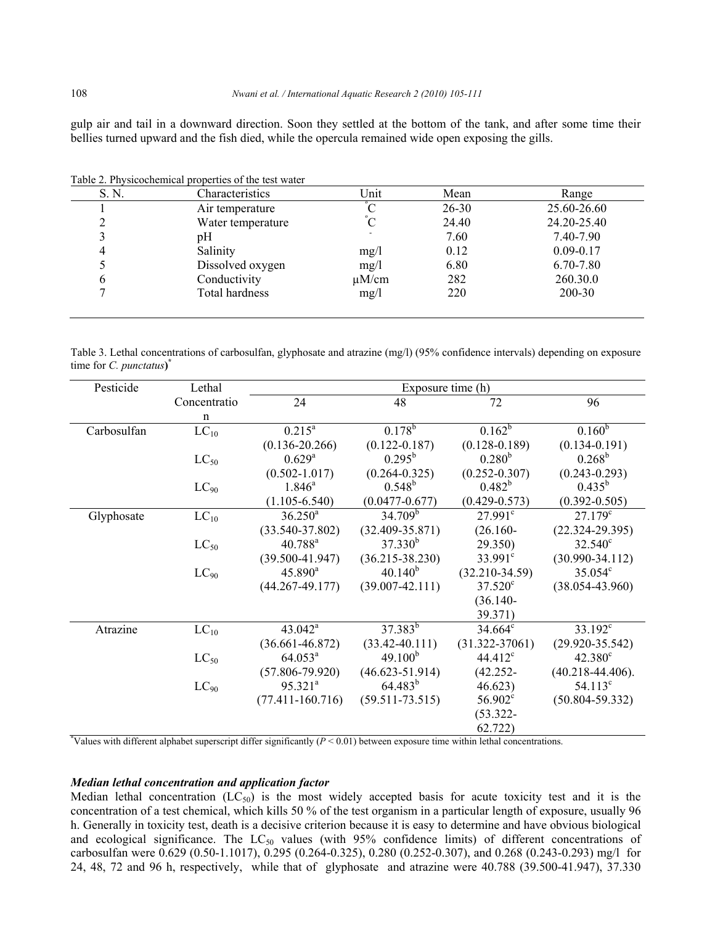gulp air and tail in a downward direction. Soon they settled at the bottom of the tank, and after some time their bellies turned upward and the fish died, while the opercula remained wide open exposing the gills.

| S. N. | Characteristics   | Unit       | Mean      | Range         |
|-------|-------------------|------------|-----------|---------------|
|       | Air temperature   |            | $26 - 30$ | 25.60-26.60   |
|       | Water temperature |            | 24.40     | 24.20-25.40   |
|       | pΗ                |            | 7.60      | 7.40-7.90     |
|       | Salinity          | mg/l       | 0.12      | $0.09 - 0.17$ |
|       | Dissolved oxygen  | mg/l       | 6.80      | 6.70-7.80     |
| 6     | Conductivity      | $\mu$ M/cm | 282       | 260.30.0      |
|       | Total hardness    | mg/l       | 220       | 200-30        |

Table 2. Physicochemical properties of the test water

Table 3. Lethal concentrations of carbosulfan, glyphosate and atrazine (mg/l) (95% confidence intervals) depending on exposure time for *C. punctatus***) \*** 

| Pesticide   | Lethal       | Exposure time (h)    |                     |                     |                       |
|-------------|--------------|----------------------|---------------------|---------------------|-----------------------|
|             | Concentratio | 24                   | 48                  | 72                  | 96                    |
|             | $\mathbf n$  |                      |                     |                     |                       |
| Carbosulfan | $LC_{10}$    | $0.215^a$            | $0.178^{b}$         | $0.162^b$           | $0.160^{b}$           |
|             |              | $(0.136 - 20.266)$   | $(0.122 - 0.187)$   | $(0.128 - 0.189)$   | $(0.134 - 0.191)$     |
|             | $LC_{50}$    | $0.629^{a}$          | $0.295^{\rm b}$     | $0.280^{b}$         | $0.268^{\rm b}$       |
|             |              | $(0.502 - 1.017)$    | $(0.264 - 0.325)$   | $(0.252 - 0.307)$   | $(0.243 - 0.293)$     |
|             | $LC_{90}$    | $1.846^a$            | $0.548^{b}$         | $0.482^{b}$         | $0.435^{b}$           |
|             |              | $(1.105 - 6.540)$    | $(0.0477 - 0.677)$  | $(0.429 - 0.573)$   | $(0.392 - 0.505)$     |
| Glyphosate  | $LC_{10}$    | $36.250^a$           | $34.709^{5}$        | $27.991^{\circ}$    | $27.179^c$            |
|             |              | $(33.540 - 37.802)$  | $(32.409 - 35.871)$ | $(26.160 -$         | $(22.324 - 29.395)$   |
|             | $LC_{50}$    | 40.788 <sup>a</sup>  | $37.330^{b}$        | 29.350)             | $32.540^{\circ}$      |
|             |              | $(39.500 - 41.947)$  | $(36.215 - 38.230)$ | $33.991^c$          | $(30.990 - 34.112)$   |
|             | $LC_{90}$    | $45.890^a$           | $40.140^{b}$        | $(32.210-34.59)$    | $35.054^c$            |
|             |              | $(44.267 - 49.177)$  | $(39.007 - 42.111)$ | $37.520^{\circ}$    | $(38.054 - 43.960)$   |
|             |              | $(36.140 -$          |                     |                     |                       |
|             |              |                      |                     | 39.371)             |                       |
| Atrazine    | $LC_{10}$    | $43.042^a$           | $37.383^{b}$        | $34.664^c$          | $33.192^c$            |
|             |              | $(36.661 - 46.872)$  | $(33.42 - 40.111)$  | $(31.322 - 37061)$  | $(29.920 - 35.542)$   |
|             | $LC_{50}$    | $64.053^a$           | 49.100 <sup>b</sup> | 44.412 <sup>c</sup> | $42.380^{\circ}$      |
|             |              | $(57.806 - 79.920)$  | $(46.623 - 51.914)$ | $(42.252 -$         | $(40.218 - 44.406)$ . |
|             | $LC_{90}$    | $95.321^{a}$         | $64.483^{b}$        | 46.623)             | $54.113^c$            |
|             |              | $(77.411 - 160.716)$ | $(59.511 - 73.515)$ | $56.902^{\circ}$    | $(50.804 - 59.332)$   |
|             |              |                      |                     | $(53.322 -$         |                       |
|             |              |                      |                     | 62.722)             |                       |

\* Values with different alphabet superscript differ significantly (*P* < 0.01) between exposure time within lethal concentrations.

#### *Median lethal concentration and application factor*

Median lethal concentration  $(LC_{50})$  is the most widely accepted basis for acute toxicity test and it is the concentration of a test chemical, which kills 50 % of the test organism in a particular length of exposure, usually 96 h. Generally in toxicity test, death is a decisive criterion because it is easy to determine and have obvious biological and ecological significance. The  $LC_{50}$  values (with 95% confidence limits) of different concentrations of carbosulfan were 0.629 (0.50-1.1017), 0.295 (0.264-0.325), 0.280 (0.252-0.307), and 0.268 (0.243-0.293) mg/l for 24, 48, 72 and 96 h, respectively, while that of glyphosate and atrazine were 40.788 (39.500-41.947), 37.330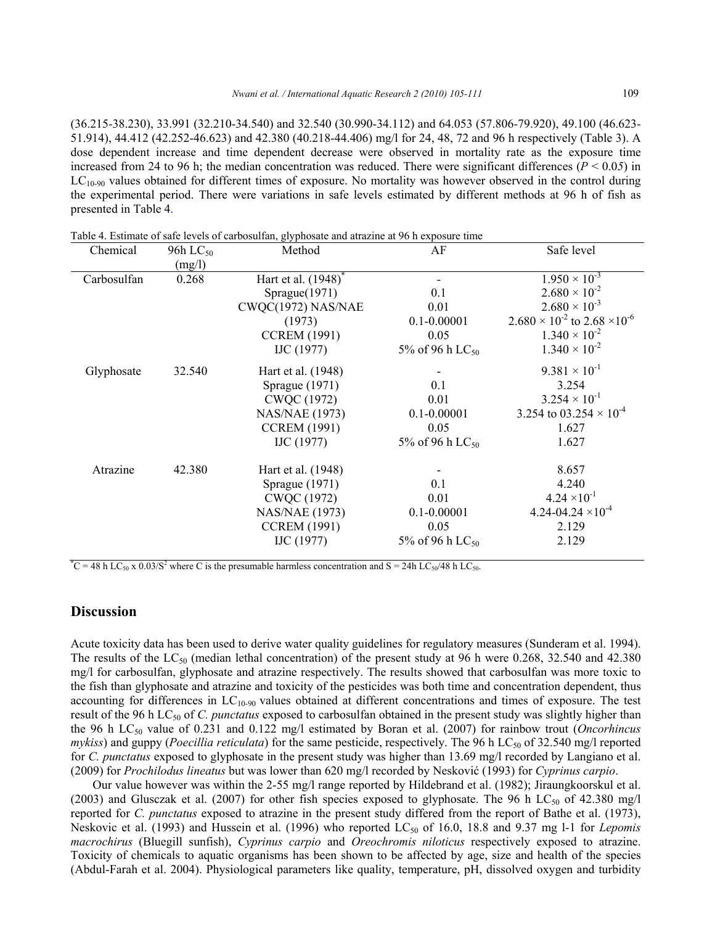(36.215-38.230), 33.991 (32.210-34.540) and 32.540 (30.990-34.112) and 64.053 (57.806-79.920), 49.100 (46.623- 51.914), 44.412 (42.252-46.623) and 42.380 (40.218-44.406) mg/l for 24, 48, 72 and 96 h respectively (Table 3). A dose dependent increase and time dependent decrease were observed in mortality rate as the exposure time increased from 24 to 96 h; the median concentration was reduced. There were significant differences ( $P < 0.05$ ) in  $LC<sub>10-90</sub>$  values obtained for different times of exposure. No mortality was however observed in the control during the experimental period. There were variations in safe levels estimated by different methods at 96 h of fish as presented in Table 4.

| Chemical    | 96h $LC_{50}$ | Method                          | AF                          | Safe level                                      |
|-------------|---------------|---------------------------------|-----------------------------|-------------------------------------------------|
|             | (mg/l)        |                                 |                             |                                                 |
| Carbosulfan | 0.268         | Hart et al. (1948) <sup>*</sup> |                             | $1.950 \times 10^{-3}$                          |
|             |               | Sprague(1971)                   | 0.1                         | $2.680 \times 10^{-2}$                          |
|             |               | CWQC(1972) NAS/NAE              | 0.01                        | $2.680 \times 10^{-3}$                          |
|             |               | (1973)                          | $0.1 - 0.00001$             | $2.680 \times 10^{-2}$ to $2.68 \times 10^{-6}$ |
|             |               | <b>CCREM (1991)</b>             | 0.05                        | $1.340 \times 10^{-2}$                          |
|             |               | $\text{IJC} (1977)$             | 5% of 96 h LC <sub>50</sub> | $1.340 \times 10^{-2}$                          |
| Glyphosate  | 32.540        | Hart et al. (1948)              |                             | $9.381 \times 10^{-1}$                          |
|             |               | Sprague $(1971)$                | 0.1                         | 3.254                                           |
|             |               | CWQC (1972)                     | 0.01                        | $3.254 \times 10^{-1}$                          |
|             |               | <b>NAS/NAE (1973)</b>           | $0.1 - 0.00001$             | 3.254 to 03.254 $\times$ 10 <sup>-4</sup>       |
|             |               | <b>CCREM (1991)</b>             | 0.05                        | 1.627                                           |
|             |               | $\text{IJC} (1977)$             | 5% of 96 h LC <sub>50</sub> | 1.627                                           |
| Atrazine    | 42.380        | Hart et al. (1948)              |                             | 8.657                                           |
|             |               | Sprague $(1971)$                | 0.1                         | 4.240                                           |
|             |               | CWQC (1972)                     | 0.01                        | $4.24 \times 10^{-1}$                           |
|             |               | NAS/NAE (1973)                  | $0.1 - 0.00001$             | $4.24 - 04.24 \times 10^{-4}$                   |
|             |               | <b>CCREM (1991)</b>             | 0.05                        | 2.129                                           |
|             |               | IJC (1977)                      | 5% of 96 h LC <sub>50</sub> | 2.129                                           |
|             |               |                                 |                             |                                                 |

Table 4. Estimate of safe levels of carbosulfan, glyphosate and atrazine at 96 h exposure time

<sup>\*</sup>C = 48 h LC<sub>50</sub> x 0.03/S<sup>2</sup> where C is the presumable harmless concentration and S = 24h LC<sub>50</sub>/48 h LC<sub>50</sub>.

# **Discussion**

Acute toxicity data has been used to derive water quality guidelines for regulatory measures (Sunderam et al. 1994). The results of the  $LC_{50}$  (median lethal concentration) of the present study at 96 h were 0.268, 32.540 and 42.380 mg/l for carbosulfan, glyphosate and atrazine respectively. The results showed that carbosulfan was more toxic to the fish than glyphosate and atrazine and toxicity of the pesticides was both time and concentration dependent, thus accounting for differences in  $LC_{10-90}$  values obtained at different concentrations and times of exposure. The test result of the 96 h LC<sub>50</sub> of *C. punctatus* exposed to carbosulfan obtained in the present study was slightly higher than the 96 h LC50 value of 0.231 and 0.122 mg/l estimated by Boran et al. (2007) for rainbow trout (*Oncorhincus mykiss*) and guppy (*Poecillia reticulata*) for the same pesticide, respectively. The 96 h LC<sub>50</sub> of 32.540 mg/l reported for *C. punctatus* exposed to glyphosate in the present study was higher than 13.69 mg/l recorded by Langiano et al. (2009) for *Prochilodus lineatus* but was lower than 620 mg/l recorded by Nesković (1993) for *Cyprinus carpio*.

Our value however was within the 2-55 mg/l range reported by Hildebrand et al. (1982); Jiraungkoorskul et al. (2003) and Glusczak et al. (2007) for other fish species exposed to glyphosate. The 96 h  $LC_{50}$  of 42.380 mg/l reported for *C. punctatus* exposed to atrazine in the present study differed from the report of Bathe et al. (1973), Neskovic et al. (1993) and Hussein et al. (1996) who reported LC<sub>50</sub> of 16.0, 18.8 and 9.37 mg l-1 for *Lepomis macrochirus* (Bluegill sunfish), *Cyprinus carpio* and *Oreochromis niloticus* respectively exposed to atrazine. Toxicity of chemicals to aquatic organisms has been shown to be affected by age, size and health of the species (Abdul-Farah et al. 2004). Physiological parameters like quality, temperature, pH, dissolved oxygen and turbidity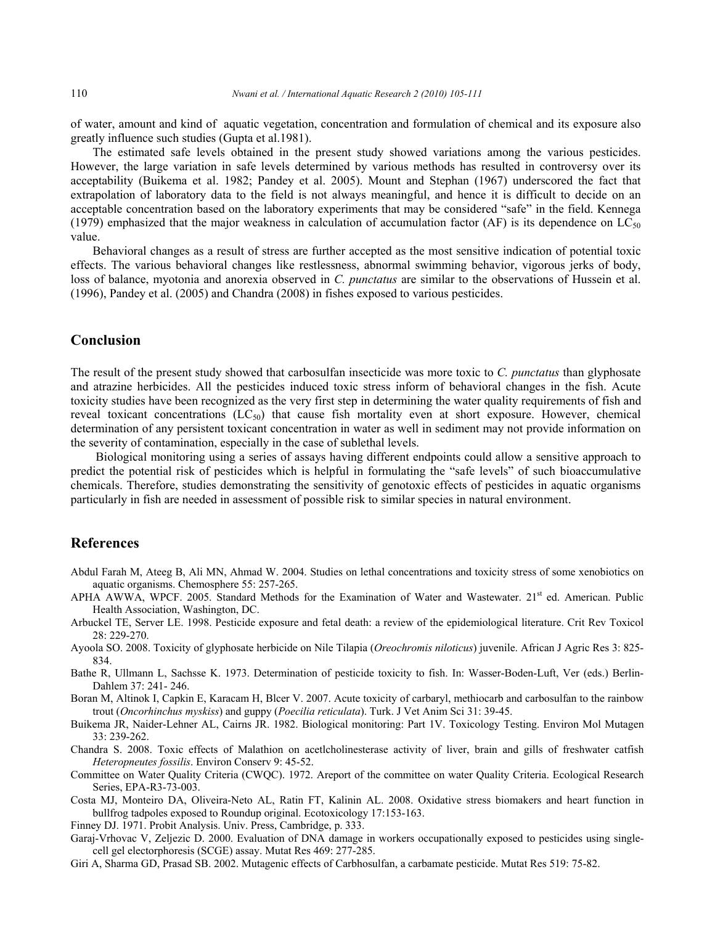of water, amount and kind of aquatic vegetation, concentration and formulation of chemical and its exposure also greatly influence such studies (Gupta et al.1981).

The estimated safe levels obtained in the present study showed variations among the various pesticides. However, the large variation in safe levels determined by various methods has resulted in controversy over its acceptability (Buikema et al. 1982; Pandey et al. 2005). Mount and Stephan (1967) underscored the fact that extrapolation of laboratory data to the field is not always meaningful, and hence it is difficult to decide on an acceptable concentration based on the laboratory experiments that may be considered "safe" in the field. Kennega (1979) emphasized that the major weakness in calculation of accumulation factor (AF) is its dependence on  $LC_{50}$ value.

Behavioral changes as a result of stress are further accepted as the most sensitive indication of potential toxic effects. The various behavioral changes like restlessness, abnormal swimming behavior, vigorous jerks of body, loss of balance, myotonia and anorexia observed in *C. punctatus* are similar to the observations of Hussein et al. (1996), Pandey et al. (2005) and Chandra (2008) in fishes exposed to various pesticides.

# **Conclusion**

The result of the present study showed that carbosulfan insecticide was more toxic to *C. punctatus* than glyphosate and atrazine herbicides. All the pesticides induced toxic stress inform of behavioral changes in the fish. Acute toxicity studies have been recognized as the very first step in determining the water quality requirements of fish and reveal toxicant concentrations  $(LC_{50})$  that cause fish mortality even at short exposure. However, chemical determination of any persistent toxicant concentration in water as well in sediment may not provide information on the severity of contamination, especially in the case of sublethal levels.

 Biological monitoring using a series of assays having different endpoints could allow a sensitive approach to predict the potential risk of pesticides which is helpful in formulating the "safe levels" of such bioaccumulative chemicals. Therefore, studies demonstrating the sensitivity of genotoxic effects of pesticides in aquatic organisms particularly in fish are needed in assessment of possible risk to similar species in natural environment.

#### **References**

- Abdul Farah M, Ateeg B, Ali MN, Ahmad W. 2004. Studies on lethal concentrations and toxicity stress of some xenobiotics on aquatic organisms. Chemosphere 55: 257-265.
- APHA AWWA, WPCF. 2005. Standard Methods for the Examination of Water and Wastewater. 21<sup>st</sup> ed. American. Public Health Association, Washington, DC.
- Arbuckel TE, Server LE. 1998. Pesticide exposure and fetal death: a review of the epidemiological literature. Crit Rev Toxicol 28: 229-270.
- Ayoola SO. 2008. Toxicity of glyphosate herbicide on Nile Tilapia (*Oreochromis niloticus*) juvenile. African J Agric Res 3: 825- 834.
- Bathe R, Ullmann L, Sachsse K. 1973. Determination of pesticide toxicity to fish. In: Wasser-Boden-Luft, Ver (eds.) Berlin-Dahlem 37: 241- 246.
- Boran M, Altinok I, Capkin E, Karacam H, Blcer V. 2007. Acute toxicity of carbaryl, methiocarb and carbosulfan to the rainbow trout (*Oncorhinchus myskiss*) and guppy (*Poecilia reticulata*). Turk. J Vet Anim Sci 31: 39-45.
- Buikema JR, Naider-Lehner AL, Cairns JR. 1982. Biological monitoring: Part 1V. Toxicology Testing. Environ Mol Mutagen 33: 239-262.
- Chandra S. 2008. Toxic effects of Malathion on acetlcholinesterase activity of liver, brain and gills of freshwater catfish *Heteropneutes fossilis*. Environ Conserv 9: 45-52.
- Committee on Water Quality Criteria (CWQC). 1972. Areport of the committee on water Quality Criteria. Ecological Research Series, EPA-R3-73-003.
- Costa MJ, Monteiro DA, Oliveira-Neto AL, Ratin FT, Kalinin AL. 2008. Oxidative stress biomakers and heart function in bullfrog tadpoles exposed to Roundup original. Ecotoxicology 17:153-163.

Finney DJ. 1971. Probit Analysis. Univ. Press, Cambridge, p. 333.

- Garaj-Vrhovac V, Zeljezic D. 2000. Evaluation of DNA damage in workers occupationally exposed to pesticides using singlecell gel electorphoresis (SCGE) assay. Mutat Res 469: 277-285.
- Giri A, Sharma GD, Prasad SB. 2002. Mutagenic effects of Carbhosulfan, a carbamate pesticide. Mutat Res 519: 75-82.